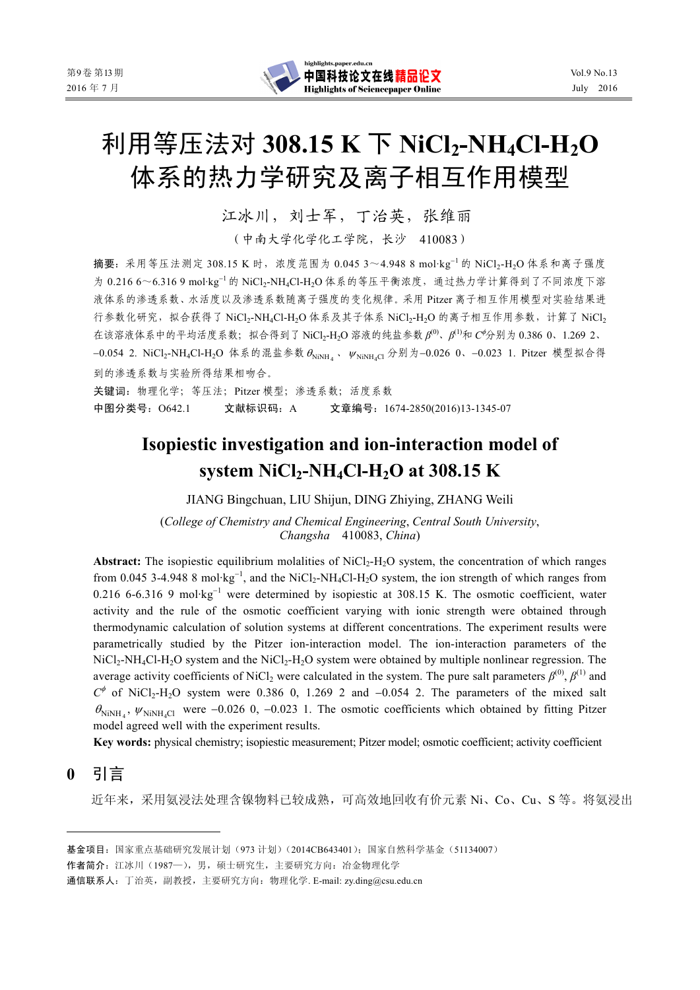# 利用等压法对 **308.15 K** 下 **NiCl2-NH4Cl-H2O** 体系的热力学研究及离子相互作用模型

江冰川, 刘士军, 丁治英, 张维丽

(中南大学化学化工学院,长沙 410083)

摘要:采用等压法测定 308.15 K 时,浓度范围为 0.045 3~4.948 8 mol·kg<sup>−</sup><sup>1</sup> 的 NiCl2-H2O 体系和离子强度 为 0.216 6~6.316 9 mol·kg<sup>-1</sup> 的 NiCl2-NH4Cl-H2O 体系的等压平衡浓度, 通过热力学计算得到了不同浓度下溶 液体系的渗透系数、水活度以及渗透系数随离子强度的变化规律。采用 Pitzer 离子相互作用模型对实验结果进 行参数化研究, 拟合获得了 NiCl<sub>2</sub>-NH<sub>4</sub>Cl-H<sub>2</sub>O 体系及其子体系 NiCl<sub>2</sub>-H<sub>2</sub>O 的离子相互作用参数, 计算了 NiCl<sub>2</sub> 在该溶液体系中的平均活度系数;拟合得到了 NiCl2-H2O 溶液的纯盐参数 *β*(0)、*β*(1)和 *С*<sup>φ</sup>分别为 0.386 0、1.269 2、 −0.054 2. NiCl<sub>2</sub>-NH<sub>4</sub>Cl-H<sub>2</sub>O 体系的混盐参数  $\theta_{\text{NiNH}_4}$ ,  $\psi_{\text{NiNH}_4Cl}$  分别为−0.026 0、−0.023 1. Pitzer 模型拟合得 到的渗透系数与实验所得结果相吻合。

关键词:物理化学;等压法;Pitzer 模型;渗透系数;活度系数 中图分类号:O642.1 文献标识码:A 文章编号:1674-2850(2016)13-1345-07

## **Isopiestic investigation and ion-interaction model of system NiCl<sub>2</sub>-NH<sub>4</sub>Cl-H<sub>2</sub>O at 308.15 K**

JIANG Bingchuan, LIU Shijun, DING Zhiying, ZHANG Weili

(*College of Chemistry and Chemical Engineering*, *Central South University*, *Changsha* 410083, *China*)

Abstract: The isopiestic equilibrium molalities of NiCl<sub>2</sub>-H<sub>2</sub>O system, the concentration of which ranges from 0.045 3-4.948 8 mol·kg<sup>-1</sup>, and the NiCl<sub>2</sub>-NH<sub>4</sub>Cl-H<sub>2</sub>O system, the ion strength of which ranges from 0.216 6-6.316 9 mol·kg<sup>-1</sup> were determined by isopiestic at 308.15 K. The osmotic coefficient, water activity and the rule of the osmotic coefficient varying with ionic strength were obtained through thermodynamic calculation of solution systems at different concentrations. The experiment results were parametrically studied by the Pitzer ion-interaction model. The ion-interaction parameters of the  $NiCl<sub>2</sub>-NH<sub>4</sub>Cl-H<sub>2</sub>O$  system and the  $NiCl<sub>2</sub>-H<sub>2</sub>O$  system were obtained by multiple nonlinear regression. The average activity coefficients of NiCl<sub>2</sub> were calculated in the system. The pure salt parameters  $\beta^{(0)}$ ,  $\beta^{(1)}$  and  $C^{\phi}$  of NiCl<sub>2</sub>-H<sub>2</sub>O system were 0.386 0, 1.269 2 and −0.054 2. The parameters of the mixed salt  $\theta_{\text{NiNH}_4}$ ,  $\psi_{\text{NiNH}_4Cl}$  were −0.026 0, −0.023 1. The osmotic coefficients which obtained by fitting Pitzer model agreed well with the experiment results.

**Key words:** physical chemistry; isopiestic measurement; Pitzer model; osmotic coefficient; activity coefficient

## **0** 引言

近年来,采用氨浸法处理含镍物料已较成熟,可高效地回收有价元素 Ni、Co、Cu、S 等。将氨浸出

作者简介:江冰川(1987—),男,硕士研究生,主要研究方向:冶金物理化学

通信联系人:丁治英,副教授,主要研究方向:物理化学. E-mail: zy.ding@csu.edu.cn

基金项目:国家重点基础研究发展计划(973 计划)(2014CB643401);国家自然科学基金(51134007)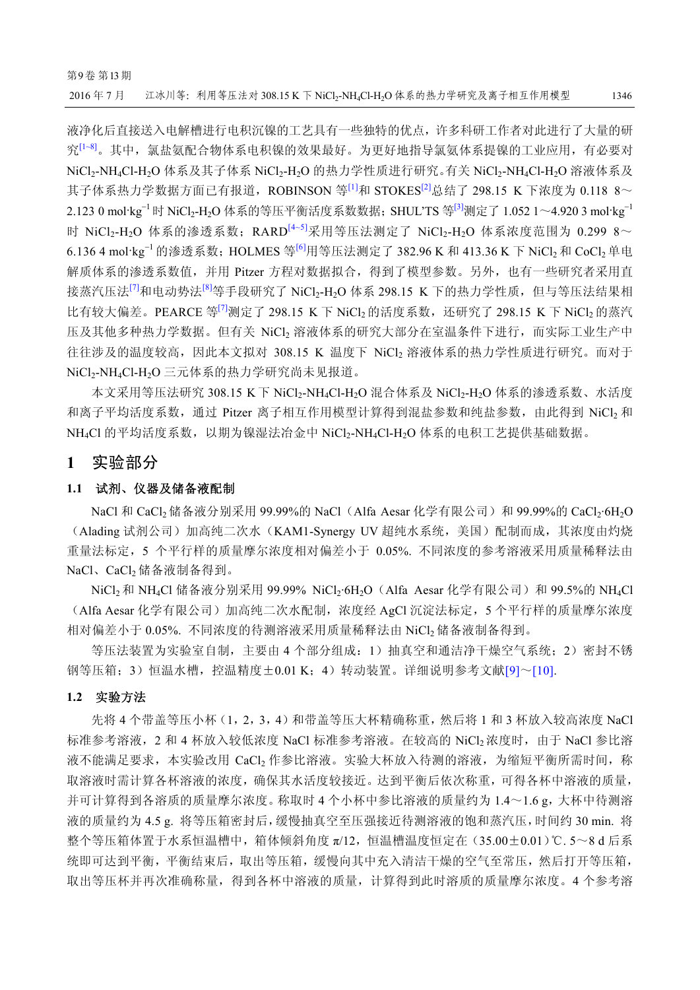液净化后直接送入电解槽进行电积沉镍的工艺具有一些独特的优点,许多科研工作者对此进行了大量的研 究[1~8]。其中,氯盐氨配合物体系电积镍的效果最好。为更好地指导氯氨体系提镍的工业应用,有必要对 NiCl<sub>2</sub>-NH<sub>4</sub>Cl-H<sub>2</sub>O 体系及其子体系 NiCl<sub>2</sub>-H<sub>2</sub>O 的热力学性质进行研究。有关 NiCl<sub>2</sub>-NH<sub>4</sub>Cl-H<sub>2</sub>O 溶液体系及 其子体系热力学数据方面已有报道,ROBINSON 等[1]和 STOKES<sup>[2]</sup>总结了 298.15 K 下浓度为 0.118 8~ 2.123 0 mol·kg<sup>-1</sup> 时 NiCl<sub>2</sub>-H<sub>2</sub>O 体系的等压平衡活度系数数据; SHUL'TS 等<sup>[3]</sup>测定了 1.052 1~4.920 3 mol·kg<sup>-1</sup> 时 NiCl<sub>2</sub>-H<sub>2</sub>O 体系的渗透系数; RARD<sup>[4~5]</sup>采用等压法测定了 NiCl<sub>2</sub>-H<sub>2</sub>O 体系浓度范围为 0.299 8~ 6.136 4 mol·kg<sup>-1</sup> 的渗透系数; HOLMES 等<sup>[6]</sup>用等压法测定了 382.96 K 和 413.36 K 下 NiCl<sub>2</sub> 和 CoCl<sub>2</sub> 单电 解质体系的渗透系数值,并用 Pitzer 方程对数据拟合,得到了模型参数。另外,也有一些研究者采用直 接蒸汽压法<sup>[7]</sup>和电动势法<sup>[8]</sup>等手段研究了 NiCl<sub>2</sub>-H<sub>2</sub>O 体系 298.15 K 下的热力学性质, 但与等压法结果相 比有较大偏差。PEARCE 等<sup>[7]</sup>测定了 298.15 K 下 NiCl2 的活度系数, 还研究了 298.15 K 下 NiCl2 的蒸汽 压及其他多种热力学数据。但有关 NiCl2 溶液体系的研究大部分在室温条件下进行,而实际工业生产中 往往涉及的温度较高,因此本文拟对 308.15 K 温度下 NiCl2 溶液体系的热力学性质进行研究。而对于 NiCl<sub>2</sub>-NH<sub>4</sub>Cl-H<sub>2</sub>O 三元体系的热力学研究尚未见报道。

本文采用等压法研究 308.15 K 下 NiCl<sub>2</sub>-NH<sub>4</sub>Cl-H<sub>2</sub>O 混合体系及 NiCl<sub>2</sub>-H<sub>2</sub>O 体系的渗透系数、水活度 和离子平均活度系数, 通过 Pitzer 离子相互作用模型计算得到混盐参数和纯盐参数, 由此得到 NiCl, 和 NH4Cl 的平均活度系数, 以期为镍湿法冶金中 NiCl2-NH4Cl-H2O 体系的电积工艺提供基础数据。

#### **1** 实验部分

#### **1.1** 试剂、仪器及储备液配制

NaCl 和 CaCl<sub>2</sub> 储备液分别采用 99.99%的 NaCl (Alfa Aesar 化学有限公司)和 99.99%的 CaCl<sub>2</sub>·6H<sub>2</sub>O (Alading 试剂公司)加高纯二次水(KAM1-Synergy UV 超纯水系统,美国)配制而成,其浓度由灼烧 重量法标定,5 个平行样的质量摩尔浓度相对偏差小于 0.05%. 不同浓度的参考溶液采用质量稀释法由 NaCl、CaCl2 储备液制备得到。

NiCl<sub>2</sub> 和 NH<sub>4</sub>Cl 储备液分别采用 99.99% NiCl<sub>2</sub>·6H<sub>2</sub>O (Alfa Aesar 化学有限公司)和 99.5%的 NH<sub>4</sub>Cl (Alfa Aesar 化学有限公司)加高纯二次水配制,浓度经 AgCl 沉淀法标定, 5 个平行样的质量摩尔浓度 相对偏差小于 0.05%. 不同浓度的待测溶液采用质量稀释法由 NiCl<sub>2</sub> 储备液制备得到。

等压法装置为实验室自制,主要由 4 个部分组成:1)抽真空和通洁净干燥空气系统;2)密封不锈 钢等压箱;3)恒温水槽,控温精度±0.01 K;4)转动装置。详细说明参考文献[9]~[10].

#### **1.2** 实验方法

先将 4 个带盖等压小杯(1,2,3,4)和带盖等压大杯精确称重,然后将 1 和 3 杯放入较高浓度 NaCl 标准参考溶液, 2 和 4 杯放入较低浓度 NaCl 标准参考溶液。在较高的 NiCl2 浓度时, 由于 NaCl 参比溶 液不能满足要求,本实验改用 CaCl2 作参比溶液。实验大杯放入待测的溶液,为缩短平衡所需时间, 称 取溶液时需计算各杯溶液的浓度,确保其水活度较接近。达到平衡后依次称重,可得各杯中溶液的质量, 并可计算得到各溶质的质量摩尔浓度。称取时 4 个小杯中参比溶液的质量约为 1.4~1.6 g, 大杯中待测溶 液的质量约为 4.5 g. 将等压箱密封后,缓慢抽真空至压强接近待测溶液的饱和蒸汽压,时间约 30 min. 将 整个等压箱体置于水系恒温槽中,箱体倾斜角度 π/12,恒温槽温度恒定在(35.00±0.01)℃. 5~8 d 后系 统即可达到平衡,平衡结束后,取出等压箱,缓慢向其中充入清洁干燥的空气至常压,然后打开等压箱, 取出等压杯并再次准确称量,得到各杯中溶液的质量,计算得到此时溶质的质量摩尔浓度。4 个参考溶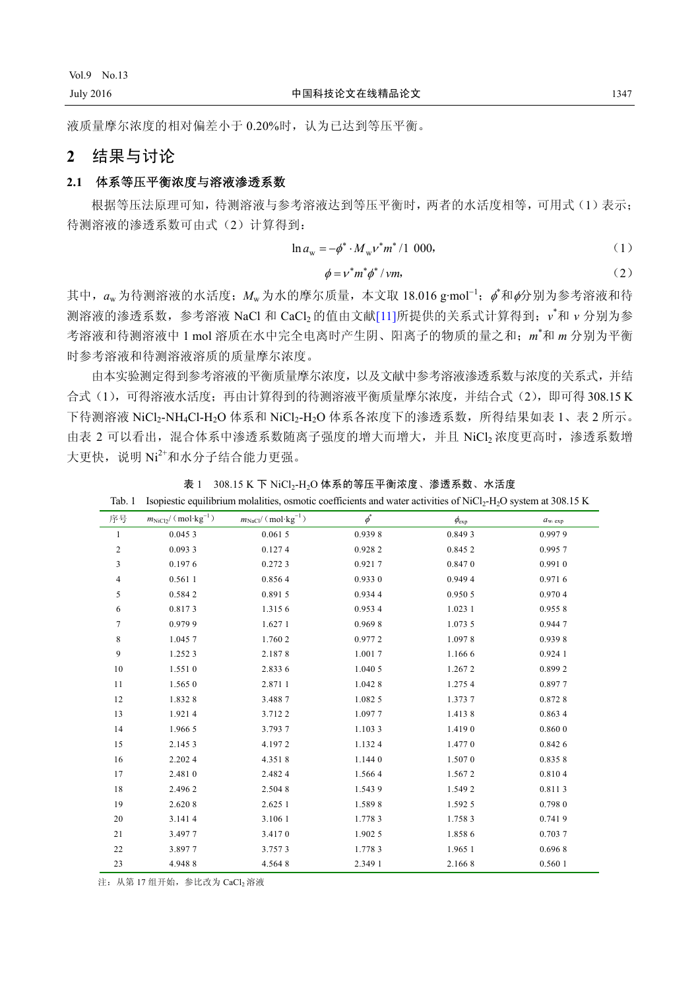液质量摩尔浓度的相对偏差小于 0.20%时,认为已达到等压平衡。

### **2** 结果与讨论

#### **2.1** 体系等压平衡浓度与溶液渗透系数

根据等压法原理可知,待测溶液与参考溶液达到等压平衡时,两者的水活度相等,可用式(1)表示; 待测溶液的渗透系数可由式(2)计算得到:

$$
\ln a_{\rm w} = -\phi^* \cdot M_{\rm w} v^* m^* / 1 \ 000,\tag{1}
$$

$$
\phi = v^* m^* \phi^* / \nu m, \tag{2}
$$

其中, aw为待测溶液的水活度; Mw为水的摩尔质量, 本文取 18.016 g·mol<sup>-1</sup>; β<sup>\*</sup>和β分别为参考溶液和待 测溶液的渗透系数,参考溶液 NaCl 和 CaCl2 的值由文献[11]所提供的关系式计算得到; v<sup>\*</sup>和 ν 分别为参 考溶液和待测溶液中 1 mol 溶质在水中完全电离时产生阴、阳离子的物质的量之和;*m*\* 和 *m* 分别为平衡 时参考溶液和待测溶液溶质的质量摩尔浓度。

由本实验测定得到参考溶液的平衡质量摩尔浓度,以及文献中参考溶液渗透系数与浓度的关系式,并结 合式(1),可得溶液水活度;再由计算得到的待测溶液平衡质量摩尔浓度,并结合式(2),即可得 308.15 K 下待测溶液 NiCl<sub>2</sub>-NH<sub>4</sub>Cl-H<sub>2</sub>O 体系和 NiCl<sub>2</sub>-H<sub>2</sub>O 体系各浓度下的渗透系数, 所得结果如表 1、表 2 所示。 由表 2 可以看出, 混合体系中渗透系数随离子强度的增大而增大, 并且 NiCl2 浓度更高时, 渗透系数增 大更快, 说明 Ni2+和水分子结合能力更强。

| 序号             | $m_{\text{NiCl}_2} / (\text{mol·kg}^{-1})$ | $m_{\text{NaCl}} / (\text{mol·kg}^{-1})$ | $\boldsymbol{\phi}^*$ | $\phi_{\rm exp}$ | $a_{w, \exp}$ |
|----------------|--------------------------------------------|------------------------------------------|-----------------------|------------------|---------------|
| $\mathbf{1}$   | 0.0453                                     | 0.0615                                   | 0.9398                | 0.8493           | 0.9979        |
| $\overline{c}$ | 0.0933                                     | 0.1274                                   | 0.9282                | 0.8452           | 0.9957        |
| 3              | 0.1976                                     | 0.2723                                   | 0.9217                | 0.8470           | 0.9910        |
| 4              | 0.561 1                                    | 0.8564                                   | 0.9330                | 0.9494           | 0.9716        |
| 5              | 0.5842                                     | 0.8915                                   | 0.9344                | 0.950 5          | 0.9704        |
| 6              | 0.8173                                     | 1.3156                                   | 0.953 4               | 1.023 1          | 0.9558        |
| $\tau$         | 0.9799                                     | 1.6271                                   | 0.9698                | 1.073 5          | 0.9447        |
| $\,$ 8 $\,$    | 1.0457                                     | 1.760 2                                  | 0.9772                | 1.0978           | 0.9398        |
| 9              | 1.252 3                                    | 2.1878                                   | 1.0017                | 1.1666           | 0.9241        |
| 10             | 1.5510                                     | 2.833 6                                  | 1.040 5               | 1.2672           | 0.8992        |
| 11             | 1.565 0                                    | 2.8711                                   | 1.0428                | 1.2754           | 0.8977        |
| 12             | 1.8328                                     | 3.4887                                   | 1.0825                | 1.3737           | 0.8728        |
| 13             | 1.9214                                     | 3.7122                                   | 1.0977                | 1.4138           | 0.8634        |
| 14             | 1.966 5                                    | 3.7937                                   | 1.1033                | 1.4190           | 0.8600        |
| 15             | 2.1453                                     | 4.1972                                   | 1.1324                | 1.4770           | 0.8426        |
| 16             | 2.2024                                     | 4.3518                                   | 1.1440                | 1.5070           | 0.8358        |
| 17             | 2.4810                                     | 2.4824                                   | 1.5664                | 1.5672           | 0.8104        |
| 18             | 2.496 2                                    | 2.5048                                   | 1.5439                | 1.549 2          | 0.8113        |
| 19             | 2.620 8                                    | 2.625 1                                  | 1.5898                | 1.592 5          | 0.7980        |
| 20             | 3.1414                                     | 3.106 1                                  | 1.7783                | 1.7583           | 0.7419        |
| 21             | 3.4977                                     | 3.4170                                   | 1.9025                | 1.8586           | 0.7037        |
| 22             | 3.8977                                     | 3.7573                                   | 1.7783                | 1.965 1          | 0.6968        |
| 23             | 4.9488                                     | 4.5648                                   | 2.349 1               | 2.1668           | 0.560 1       |
|                |                                            |                                          |                       |                  |               |

表 1 308.15 K 下 NiCl<sub>2</sub>-H<sub>2</sub>O 体系的等压平衡浓度、渗透系数、水活度 Tab. 1 Isopiestic equilibrium molalities, osmotic coefficients and water activities of NiCl<sub>2</sub>-H<sub>2</sub>O system at 308.15 K

注: 从第 17 组开始, 参比改为 CaCl, 溶液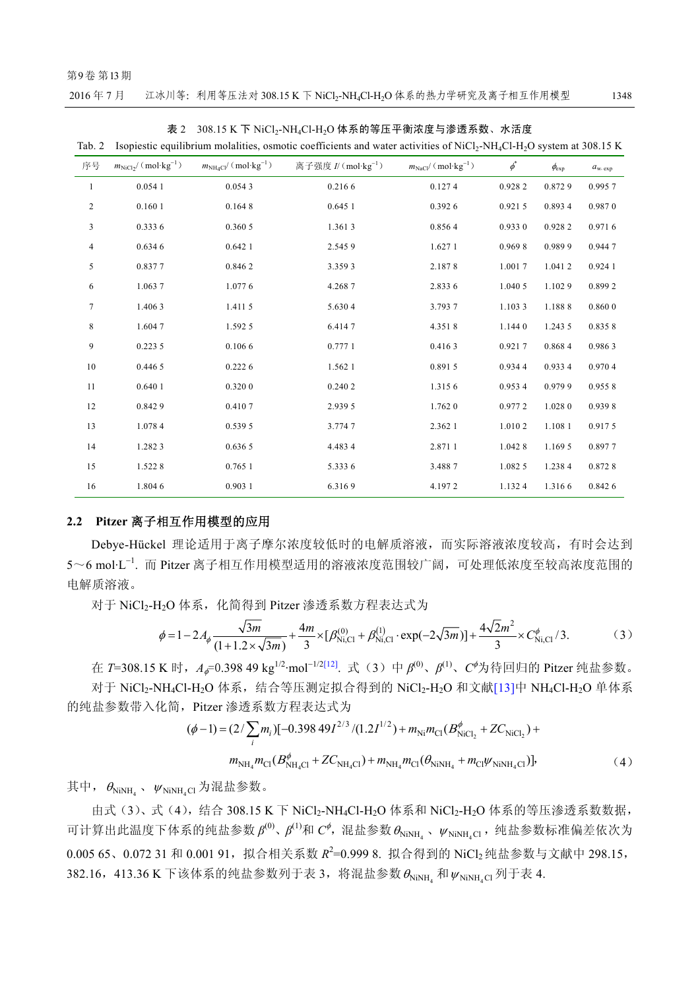#### 第9卷 第13期

| 2016年7月 |  | 江冰川等: 利用等压法对 308.15 K 下 NiCl2-NH4Cl-H2O 体系的热力学研究及离子相互作用模型 | 1348 |
|---------|--|-----------------------------------------------------------|------|
|---------|--|-----------------------------------------------------------|------|

| ⊥av. ∠                  |                                            |                                           | ISOPICSIIC CQUINOTIQIII INOIANING, OSINONE COCHICIENS AND WAICI ACHVINGS OF IVICI2-IVIT4C1-IT2O SYSICIII AL JOO.TJ IN |                                          |          |                  |                  |
|-------------------------|--------------------------------------------|-------------------------------------------|-----------------------------------------------------------------------------------------------------------------------|------------------------------------------|----------|------------------|------------------|
| 序号                      | $m_{\text{NiCl}_2} / (\text{mol·kg}^{-1})$ | $m_{\text{NH4Cl}} / (\text{mol·kg}^{-1})$ | 离子强度 $I/(mol \cdot kg^{-1})$                                                                                          | $m_{\text{NaCl}} / (\text{mol·kg}^{-1})$ | $\phi^*$ | $\phi_{\rm exp}$ | $a_{\rm w, exp}$ |
| $\mathbf{1}$            | 0.0541                                     | 0.0543                                    | 0.2166                                                                                                                | 0.1274                                   | 0.9282   | 0.8729           | 0.9957           |
| $\overline{c}$          | 0.1601                                     | 0.1648                                    | 0.6451                                                                                                                | 0.3926                                   | 0.9215   | 0.8934           | 0.9870           |
| $\overline{\mathbf{3}}$ | 0.3336                                     | 0.360 5                                   | 1.3613                                                                                                                | 0.8564                                   | 0.9330   | 0.9282           | 0.9716           |
| 4                       | 0.6346                                     | 0.6421                                    | 2.5459                                                                                                                | 1.627 1                                  | 0.9698   | 0.9899           | 0.9447           |
| 5                       | 0.8377                                     | 0.8462                                    | 3.3593                                                                                                                | 2.1878                                   | 1.0017   | 1.0412           | 0.9241           |
| 6                       | 1.0637                                     | 1.0776                                    | 4.2687                                                                                                                | 2.833 6                                  | 1.040 5  | 1.1029           | 0.8992           |
| $\tau$                  | 1.4063                                     | 1.4115                                    | 5.6304                                                                                                                | 3.7937                                   | 1.1033   | 1.1888           | 0.8600           |
| $\,$ 8 $\,$             | 1.6047                                     | 1.592 5                                   | 6.4147                                                                                                                | 4.3518                                   | 1.1440   | 1.243 5          | 0.8358           |
| 9                       | 0.2235                                     | 0.1066                                    | 0.7771                                                                                                                | 0.4163                                   | 0.9217   | 0.8684           | 0.9863           |
| 10                      | 0.446 5                                    | 0.2226                                    | 1.562 1                                                                                                               | 0.8915                                   | 0.9344   | 0.933 4          | 0.9704           |
| 11                      | 0.6401                                     | 0.3200                                    | 0.240 2                                                                                                               | 1.3156                                   | 0.9534   | 0.9799           | 0.9558           |
| 12                      | 0.8429                                     | 0.4107                                    | 2.939 5                                                                                                               | 1.762 0                                  | 0.9772   | 1.028 0          | 0.9398           |
| 13                      | 1.0784                                     | 0.539 5                                   | 3.7747                                                                                                                | 2.362 1                                  | 1.0102   | 1.1081           | 0.9175           |
| 14                      | 1.2823                                     | 0.636 5                                   | 4.4834                                                                                                                | 2.8711                                   | 1.0428   | 1.169 5          | 0.8977           |
| 15                      | 1.5228                                     | 0.765 1                                   | 5.3336                                                                                                                | 3.4887                                   | 1.0825   | 1.2384           | 0.8728           |
| 16                      | 1.8046                                     | 0.9031                                    | 6.3169                                                                                                                | 4.1972                                   | 1.1324   | 1.3166           | 0.8426           |

| 表 2 308.15 K 下 NiCl2-NH4Cl-H2O 体系的等压平衡浓度与渗透系数、水活度 |  |
|---------------------------------------------------|--|
|                                                   |  |

Tab. 2. Isopiestic equilibrium molalities, osmotic coefficients and water activities of NiCl2-NH4Cl-H4Cl-H2O system at 308.15 K

#### **2.2 Pitzer** 离子相互作用模型的应用

Debye-Hückel 理论适用于离子摩尔浓度较低时的电解质溶液,而实际溶液浓度较高,有时会达到 5~6 mol·L<sup>-1</sup>. 而 Pitzer 离子相互作用模型适用的溶液浓度范围较广阔, 可处理低浓度至较高浓度范围的 电解质溶液。

对于 NiCl2-H2O 体系, 化简得到 Pitzer 渗透系数方程表达式为

$$
\phi = 1 - 2A_{\phi} \frac{\sqrt{3m}}{(1 + 1.2 \times \sqrt{3m})} + \frac{4m}{3} \times [\beta_{\text{Ni,Cl}}^{(0)} + \beta_{\text{Ni,Cl}}^{(1)} \cdot \exp(-2\sqrt{3m})] + \frac{4\sqrt{2}m^2}{3} \times C_{\text{Ni,Cl}}^{\phi} / 3. \tag{3}
$$

在 *T*=308.15 K 时,*A*φ=0.398 49 kg1/2·mol<sup>−</sup>1/2[12]. 式(3)中 *β*(0)、*β*(1)、*С*<sup>φ</sup>为待回归的 Pitzer 纯盐参数。 对于 NiCl<sub>2</sub>-NH<sub>4</sub>Cl-H<sub>2</sub>O 体系, 结合等压测定拟合得到的 NiCl<sub>2</sub>-H<sub>2</sub>O 和文献[13]中 NH<sub>4</sub>Cl-H<sub>2</sub>O 单体系

的纯盐参数带入化简,Pitzer 渗透系数方程表达式为

$$
(\phi - 1) = (2/\sum_{i} m_{i})[-0.39849I^{2/3}/(1.2I^{1/2}) + m_{\text{Ni}}m_{\text{Cl}}(B_{\text{NiCl}_{2}}^{\phi} + ZC_{\text{NiCl}_{2}}) + m_{\text{NH}_{4}}m_{\text{Cl}}(B_{\text{NH}_{4}Cl}^{\phi} + ZC_{\text{NH}_{4}Cl}) + m_{\text{NH}_{4}}m_{\text{Cl}}(\theta_{\text{NiNH}_{4}} + m_{\text{Cl}}\psi_{\text{NiNH}_{4}Cl})],
$$
\n(4)

其中,  $\theta_{\text{NiNH}_4}$ ,  $\psi_{\text{NiNH}_4\text{Cl}}$  为混盐参数。

由式(3)、式(4),结合 308.15 K 下 NiCl2-NH4Cl-H2O 体系和 NiCl2-H2O 体系的等压渗透系数数据, 可计算出此温度下体系的纯盐参数  $\beta^{(0)}$ 、 $\beta^{(1)}$ 和  $C^{\phi}$ , 混盐参数  $\theta_{\text{NiNH}_4}$ 、  $\psi_{\text{NiNH}_4\text{Cl}}$ , 纯盐参数标准偏差依次为 0.005 65、0.072 31 和 0.001 91, 拟合相关系数 R<sup>2</sup>=0.999 8. 拟合得到的 NiCl2 纯盐参数与文献中 298.15, 382.16, 413.36 K 下该体系的纯盐参数列于表 3, 将混盐参数  $\theta_{\text{NiNH}}$  和  $\psi_{\text{NiNH C}}$  列于表 4.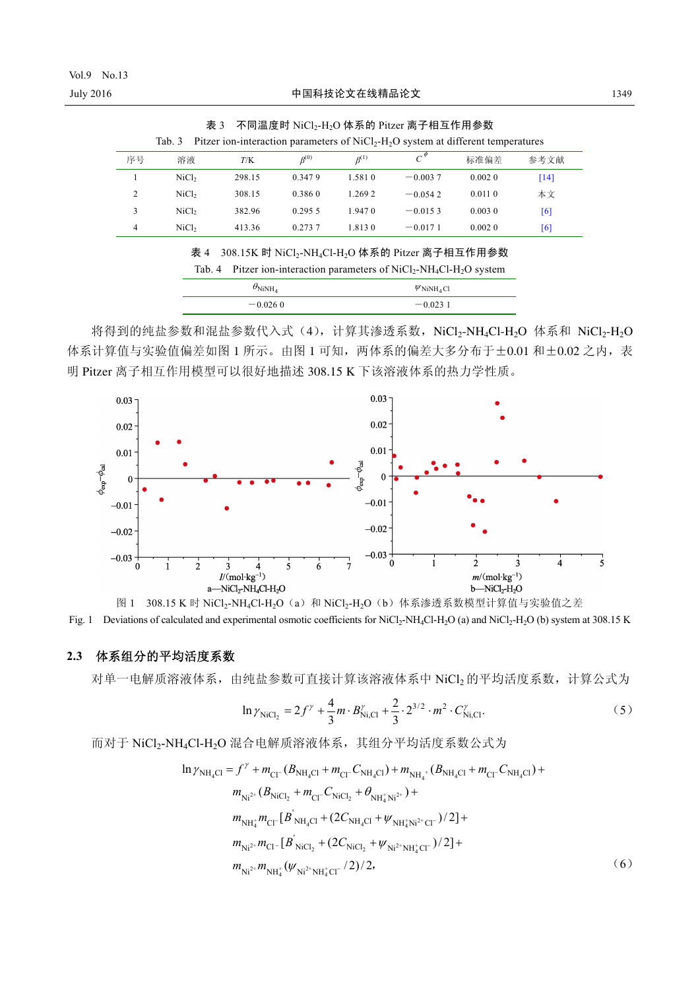|    | Tab. 3            |        |               |               | Pitzer ion-interaction parameters of $NiCl2-H2O$ system at different temperatures |        |      |
|----|-------------------|--------|---------------|---------------|-----------------------------------------------------------------------------------|--------|------|
| 序号 | 溶液                | T/K    | $\beta^{(0)}$ | $\beta^{(1)}$ |                                                                                   | 标准偏差   | 参考文献 |
|    | NiCl <sub>2</sub> | 298.15 | 0.347.9       | 1.581.0       | $-0.0037$                                                                         | 0.0020 | [14] |
|    | NiCl <sub>2</sub> | 308.15 | 0.3860        | 1.269.2       | $-0.0542$                                                                         | 0.0110 | 本文   |
|    | NiCl <sub>2</sub> | 382.96 | 0.295.5       | 1.9470        | $-0.0153$                                                                         | 0.0030 | [6]  |
| 4  | NiCl <sub>2</sub> | 413.36 | 0.273.7       | 1.813.0       | $-0.0171$                                                                         | 0.0020 | [6]  |

表 3 不同温度时 NiCl<sub>2</sub>-H<sub>2</sub>O 体系的 Pitzer 离子相互作用参数

| 表 4 308.15K 时 NiCl <sub>2</sub> -NH <sub>4</sub> Cl-H <sub>2</sub> O 体系的 Pitzer 离子相互作用参数 |
|------------------------------------------------------------------------------------------|
| Tab. 4 Pitzer ion-interaction parameters of $NiCl2-NH4Cl-H2O$ system                     |

| $\theta_{\text{NiNH}_4}$ | $W$ NiNH <sub>4</sub> Cl |  |  |
|--------------------------|--------------------------|--|--|
| $-0.0260$                | $-0.0231$                |  |  |

将得到的纯盐参数和混盐参数代入式(4), 计算其渗透系数, NiCl2-NH4Cl-H2O 体系和 NiCl2-H2O 体系计算值与实验值偏差如图 1 所示。由图 1 可知, 两体系的偏差大多分布于±0.01 和±0.02 之内, 表 明 Pitzer 离子相互作用模型可以很好地描述 308.15 K 下该溶液体系的热力学性质。



图 1 308.15 K 时 NiCl<sub>2</sub>-NH<sub>4</sub>Cl-H<sub>2</sub>O (a) 和 NiCl<sub>2</sub>-H<sub>2</sub>O (b) 体系渗透系数模型计算值与实验值之差 Fig. 1 Deviations of calculated and experimental osmotic coefficients for NiCl<sub>2</sub>-NH<sub>4</sub>Cl-H<sub>2</sub>O (a) and NiCl<sub>2</sub>-H<sub>2</sub>O (b) system at 308.15 K

#### **2.3** 体系组分的平均活度系数

对单一电解质溶液体系,由纯盐参数可直接计算该溶液体系中 NiCl2 的平均活度系数, 计算公式为

$$
\ln \gamma_{\text{NiCl}_2} = 2f^{\gamma} + \frac{4}{3}m \cdot B_{\text{Ni,Cl}}^{\gamma} + \frac{2}{3} \cdot 2^{3/2} \cdot m^2 \cdot C_{\text{Ni,Cl}}^{\gamma}.
$$
 (5)

而对于 NiCl2-NH4Cl-H2O 混合电解质溶液体系, 其组分平均活度系数公式为

$$
\ln \gamma_{\text{NH}_4\text{Cl}} = f^{\gamma} + m_{\text{Cl}^-}(B_{\text{NH}_4\text{Cl}} + m_{\text{Cl}^-}C_{\text{NH}_4\text{Cl}}) + m_{\text{NH}_4^+}(B_{\text{NH}_4\text{Cl}} + m_{\text{Cl}^-}C_{\text{NH}_4\text{Cl}}) + m_{\text{Ni}^{2+}}(B_{\text{NiCl}_2} + m_{\text{Cl}^-}C_{\text{NiCl}_2} + \theta_{\text{NH}_4^+ \text{Ni}^{2+}}) + m_{\text{NH}_4^+}m_{\text{Cl}^-}[B_{\text{NH}_4\text{Cl}} + (2C_{\text{NH}_4\text{Cl}} + \psi_{\text{NH}_4^+ \text{Ni}^{2+}\text{Cl}^-})/2] + m_{\text{Ni}^{2+}}m_{\text{Cl}^-}[B_{\text{NiCl}_2} + (2C_{\text{NiCl}_2} + \psi_{\text{Ni}^{2+} \text{NH}_4^+ \text{Cl}^-})/2] + m_{\text{Ni}^{2+}}m_{\text{NH}_4^+}(\psi_{\text{Ni}^{2+} \text{NH}_4^+} \text{Cl}^-}/2)/2,
$$
\n(6)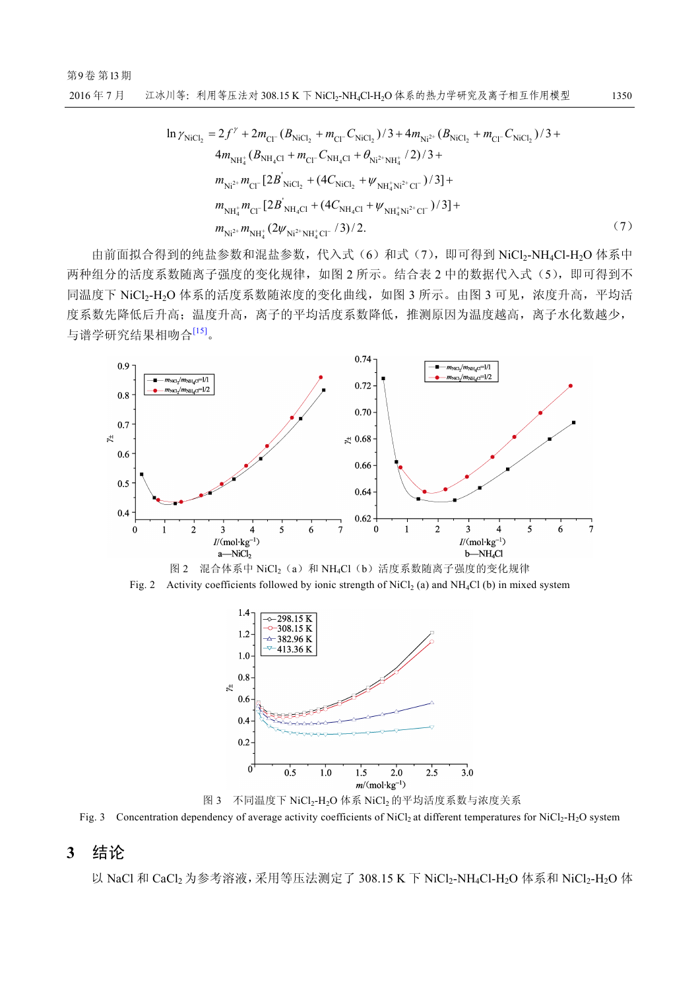$$
\ln \gamma_{\text{NiCl}_{2}} = 2f^{\gamma} + 2m_{\text{Cl}^{-}}(B_{\text{NiCl}_{2}} + m_{\text{Cl}^{-}}C_{\text{NiCl}_{2}})/3 + 4m_{\text{Ni}^{2+}}(B_{\text{NiCl}_{2}} + m_{\text{Cl}^{-}}C_{\text{NiCl}_{2}})/3 + 4m_{\text{NH}_{4}^{+}}(B_{\text{NH}_{4}^{+}}(B_{\text{NH}_{4}^{+}}(B_{\text{NH}_{4}^{+}}))/3 + 4m_{\text{NH}_{4}^{+}}(B_{\text{NH}_{4}^{+}}(B_{\text{NH}_{4}^{+}}(B_{\text{H}^{+}}))/3 + m_{\text{Ni}^{2+}}m_{\text{Cl}^{-}}[2B_{\text{NiCl}_{2}} + (4C_{\text{NiCl}_{2}} + \psi_{\text{NH}_{4}^{+}\text{Ni}^{2+}\text{Cl}^{-}})/3] + m_{\text{NH}_{4}^{+}}m_{\text{Cl}^{-}}[2B_{\text{NH}_{4}^{+}\text{Cl}} + (4C_{\text{NH}_{4}^{+}\text{Cl}} + \psi_{\text{NH}_{4}^{+}\text{Ni}^{2+}\text{Cl}^{-}})/3] + m_{\text{Ni}^{2+}}m_{\text{NH}_{4}^{+}}(2\psi_{\text{Ni}^{2+}N\text{H}_{4}^{+}\text{Cl}^{-}}/3)/2.
$$
\n(7)

由前面拟合得到的纯盐参数和混盐参数,代入式(6)和式(7),即可得到 NiCl2-NH4Cl-H2O 体系中 两种组分的活度系数随离子强度的变化规律,如图 2 所示。结合表 2 中的数据代入式(5), 即可得到不 同温度下 NiCl<sub>2</sub>-H<sub>2</sub>O 体系的活度系数随浓度的变化曲线,如图 3 所示。由图 3 可见,浓度升高,平均活 度系数先降低后升高;温度升高,离子的平均活度系数降低,推测原因为温度越高,离子水化数越少, 与谱学研究结果相吻合[15]。







图 3 不同温度下 NiCl<sub>2</sub>-H<sub>2</sub>O 体系 NiCl<sub>2</sub> 的平均活度系数与浓度关系

Fig. 3 Concentration dependency of average activity coefficients of NiCl<sub>2</sub> at different temperatures for NiCl<sub>2</sub>-H<sub>2</sub>O system

## **3** 结论

以 NaCl 和 CaCl<sub>2</sub> 为参考溶液, 采用等压法测定了 308.15 K 下 NiCl<sub>2</sub>-NH<sub>4</sub>Cl-H<sub>2</sub>O 体系和 NiCl<sub>2</sub>-H<sub>2</sub>O 体